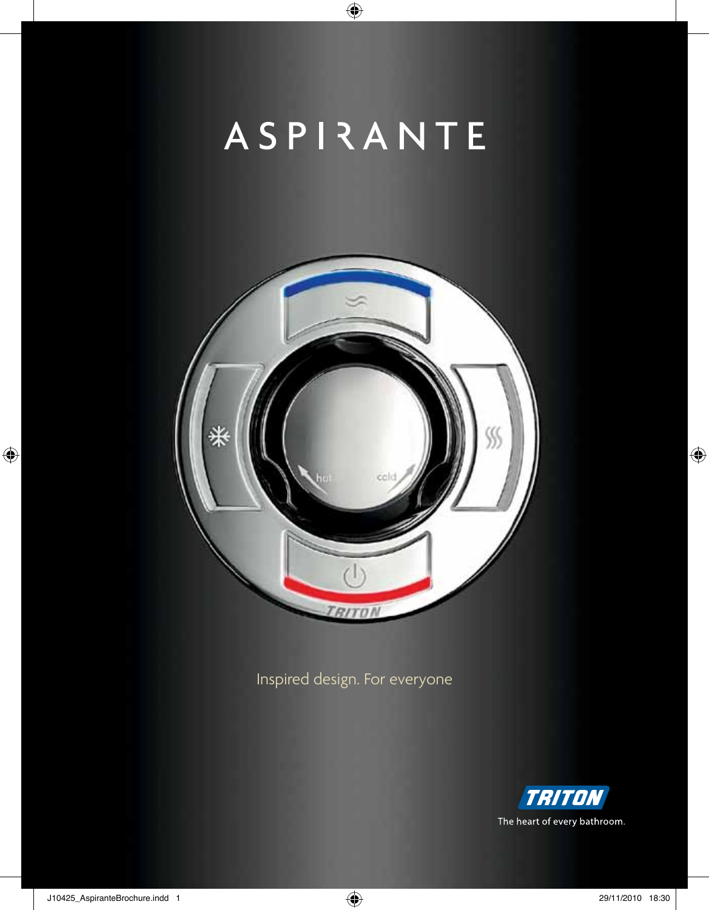# ASPIRANTE

 $\bigoplus$ 



Inspired design. For everyone



 $\bigoplus$ 

 $\bigcirc$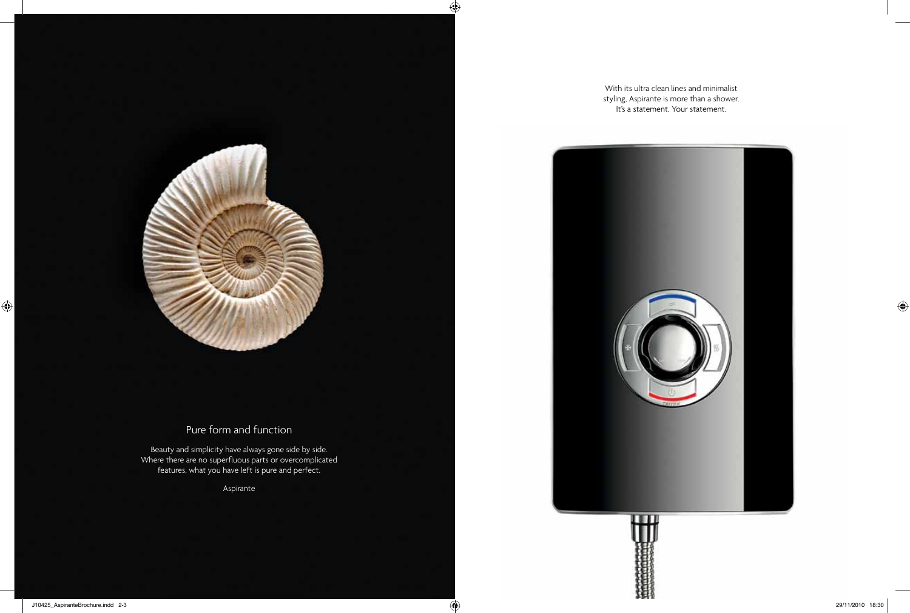

# Pure form and function

Beauty and simplicity have always gone side by side. Where there are no superfluous parts or overcomplicated features, what you have left is pure and perfect.

Aspirante

With its ultra clean lines and minimalist styling, Aspirante is more than a shower. It's a statement. Your statement.

 $\bigoplus$ 

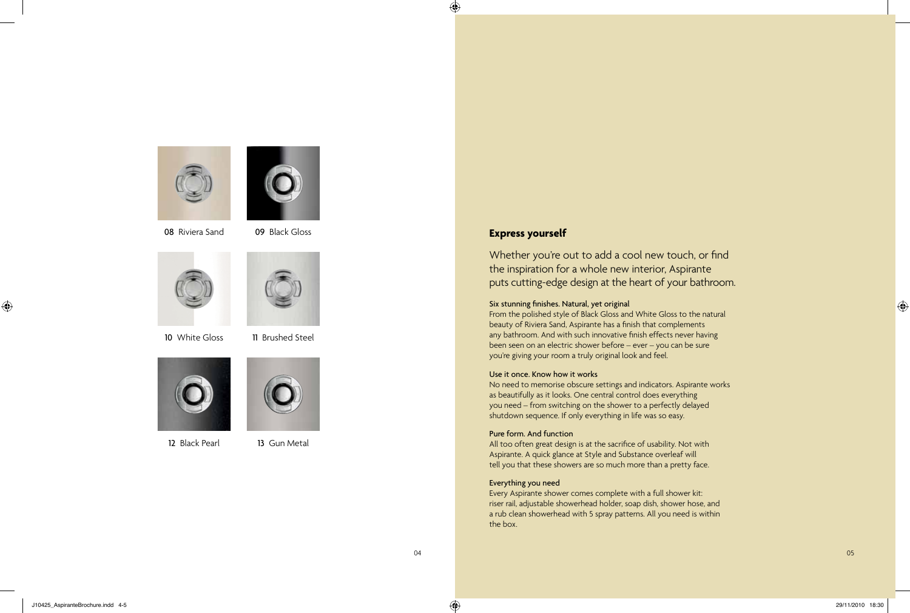



08 Riviera Sand 09 Black Gloss





10 White Gloss 11 Brushed Steel





12 Black Pearl 13 Gun Metal

# **Express yourself**

 $\bigcirc$ 

Whether you're out to add a cool new touch, or find the inspiration for a whole new interior, Aspirante puts cutting-edge design at the heart of your bathroom.

#### Six stunning finishes. Natural, yet original

From the polished style of Black Gloss and White Gloss to the natural beauty of Riviera Sand, Aspirante has a finish that complements any bathroom. And with such innovative finish effects never having been seen on an electric shower before – ever – you can be sure you're giving your room a truly original look and feel.

#### Use it once. Know how it works

No need to memorise obscure settings and indicators. Aspirante works as beautifully as it looks. One central control does everything you need – from switching on the shower to a perfectly delayed shutdown sequence. If only everything in life was so easy.

### Pure form. And function

All too often great design is at the sacrifice of usability. Not with Aspirante. A quick glance at Style and Substance overleaf will tell you that these showers are so much more than a pretty face.

#### Everything you need

Every Aspirante shower comes complete with a full shower kit: riser rail, adjustable showerhead holder, soap dish, shower hose, and a rub clean showerhead with 5 spray patterns. All you need is within the box.

J10425\_AspiranteBrochure.indd 4-5 29/11/2010 18:30

 $\bigoplus$ 

⊕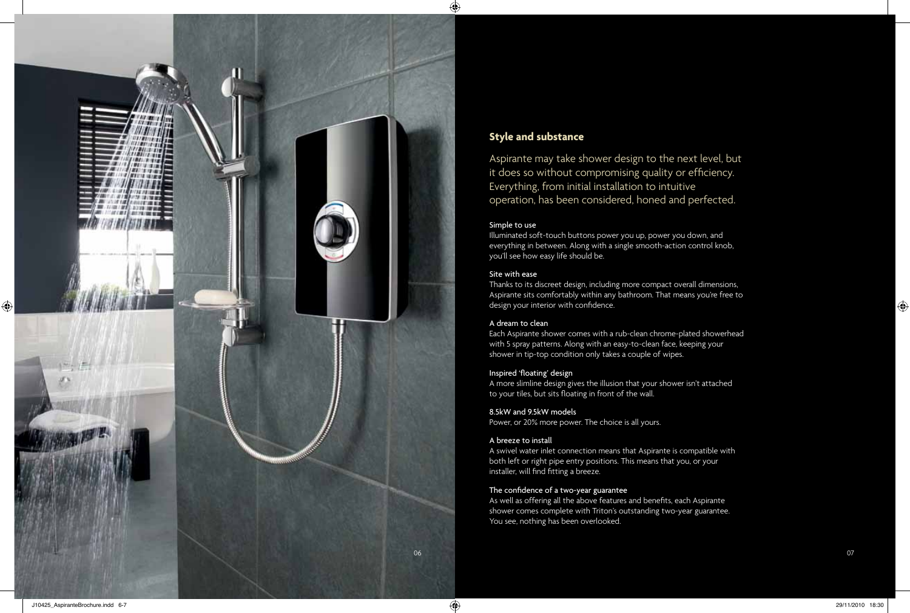

## **Style and substance**

Aspirante may take shower design to the next level, but it does so without compromising quality or efficiency. Everything, from initial installation to intuitive operation, has been considered, honed and perfected.

#### Simple to use

Illuminated soft-touch buttons power you up, power you down, and everything in between. Along with a single smooth-action control knob, you'll see how easy life should be.

#### Site with ease

Thanks to its discreet design, including more compact overall dimensions, Aspirante sits comfortably within any bathroom. That means you're free to design your interior with confidence.

#### A dream to clean

Each Aspirante shower comes with a rub-clean chrome-plated showerhead with 5 spray patterns. Along with an easy-to-clean face, keeping your shower in tip-top condition only takes a couple of wipes.

#### Inspired 'floating' design

A more slimline design gives the illusion that your shower isn't attached to your tiles, but sits floating in front of the wall.

#### 8.5kW and 9.5kW models

Power, or 20% more power. The choice is all yours.

#### A breeze to install

A swivel water inlet connection means that Aspirante is compatible with both left or right pipe entry positions. This means that you, or your installer, will find fitting a breeze.

### The confidence of a two-year guarantee

As well as offering all the above features and benefits, each Aspirante shower comes complete with Triton's outstanding two-year guarantee. You see, nothing has been overlooked.

◈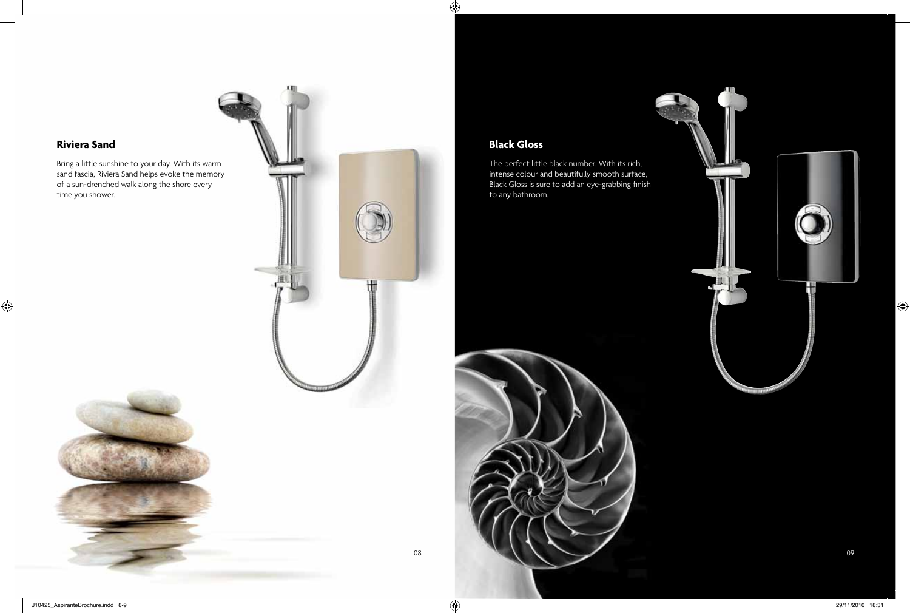# **Riviera Sand**

 $\bigcirc$ 

Bring a little sunshine to your day. With its warm sand fascia, Riviera Sand helps evoke the memory of a sun-drenched walk along the shore every time you shower.





# **Black Gloss**

 $\bigoplus$ 

The perfect little black number. With its rich, intense colour and beautifully smooth surface, Black Gloss is sure to add an eye-grabbing finish to any bathroom.





 $\bigoplus$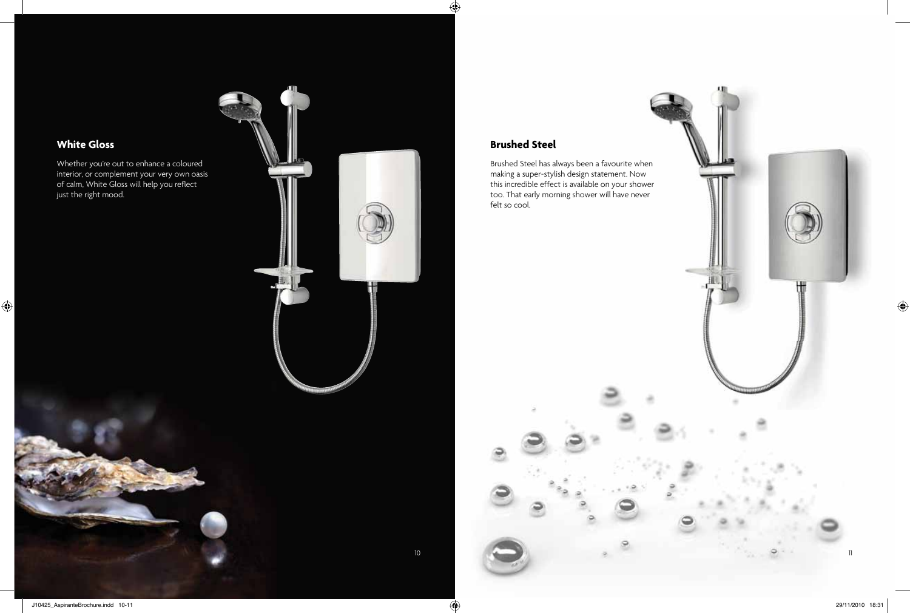

 $\bigoplus$ 

 $\bigoplus$ 

interior, or complement your very own oasis of calm, White Gloss will help you reflect just the right mood.

 $\bigoplus$ 

₩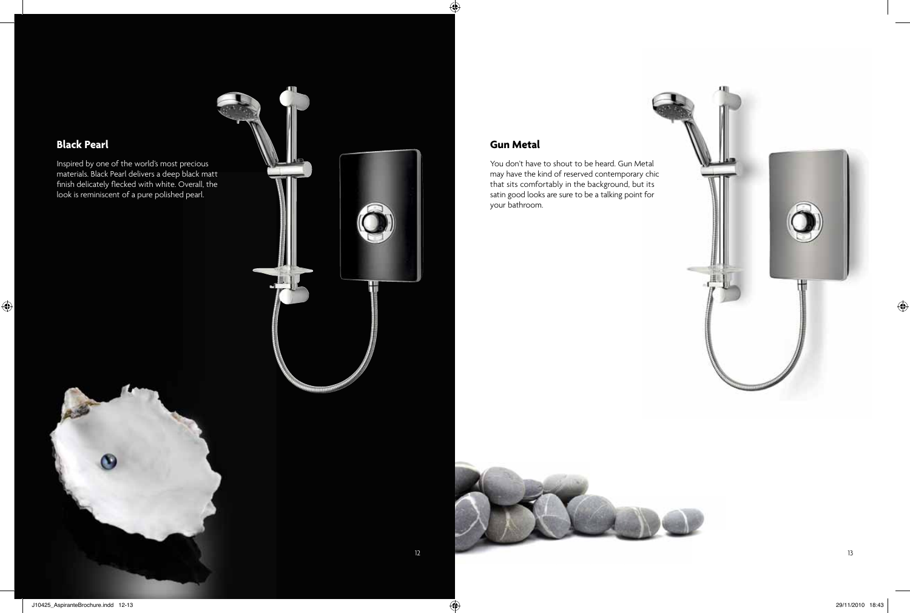

Inspired by one of the world's most precious materials. Black Pearl delivers a deep black matt finish delicately flecked with white. Overall, the look is reminiscent of a pure polished pearl.

**Black Pearl**

 $\bigoplus$ 



Æ

 $\bigoplus$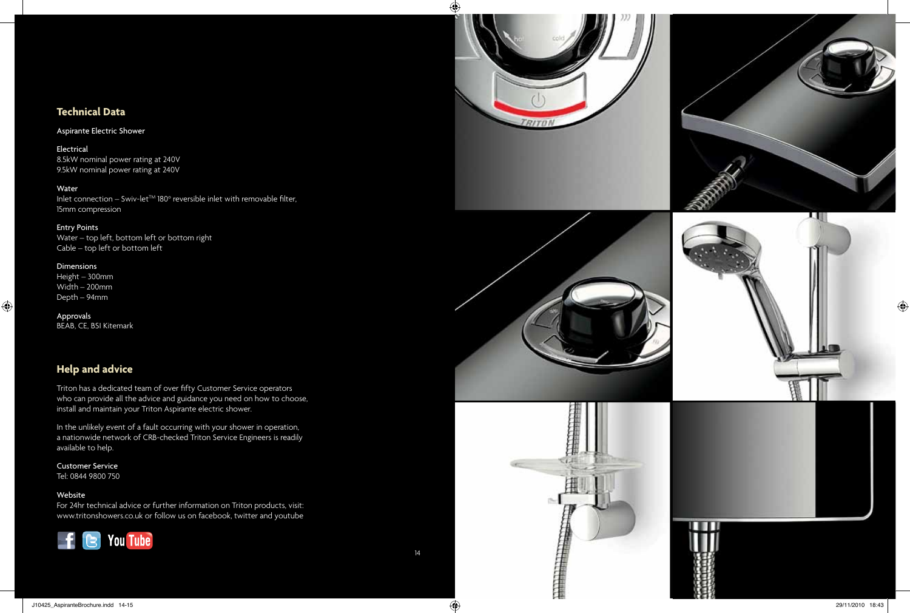# **Technical Data**

## Aspirante Electric Shower

Electrical 8.5kW nominal power rating at 240V 9.5kW nominal power rating at 240V

#### Water

Inlet connection – Swiv-let $\mathbb{M}^{\mathbb{N}}$  180 $^{\circ}$  reversible inlet with removable filter, 15mm compression

#### Entry Points

Water – top left, bottom left or bottom right Cable – top left or bottom left

#### Dimensions

 $\bigoplus$ 

Height – 300mm Width – 200mm Depth – 94mm

Approvals BEAB, CE, BSI Kitemark

# **Help and advice**

Triton has a dedicated team of over fifty Customer Service operators who can provide all the advice and guidance you need on how to choose, install and maintain your Triton Aspirante electric shower.

In the unlikely event of a fault occurring with your shower in operation, a nationwide network of CRB-checked Triton Service Engineers is readily available to help.

Customer Service Tel: 0844 9800 750

#### Website

For 24hr technical advice or further information on Triton products, visit: www.tritonshowers.co.uk or follow us on facebook, twitter and youtube







 $\bigcirc$ 











 $\bigcirc$